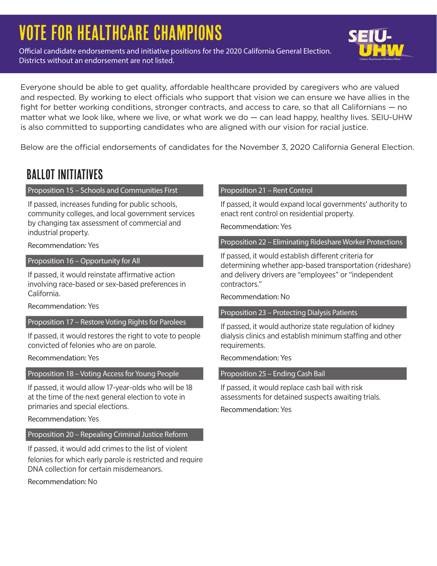# Vote for Healthcare Champions

Official candidate endorsements and initiative positions for the 2020 California General Election. Districts without an endorsement are not listed.



Everyone should be able to get quality, affordable healthcare provided by caregivers who are valued and respected. By working to elect officials who support that vision we can ensure we have allies in the fight for better working conditions, stronger contracts, and access to care, so that all Californians — no matter what we look like, where we live, or what work we do — can lead happy, healthy lives. SEIU-UHW is also committed to supporting candidates who are aligned with our vision for racial justice.

Below are the official endorsements of candidates for the November 3, 2020 California General Election.

## Ballot Initiatives

#### Proposition 15 – Schools and Communities First

If passed, increases funding for public schools, community colleges, and local government services by changing tax assessment of commercial and industrial property.

Recommendation: Yes

Proposition 16 – Opportunity for All

If passed, it would reinstate affirmative action involving race-based or sex-based preferences in California.

Recommendation: Yes

Proposition 17 – Restore Voting Rights for Parolees

If passed, it would restores the right to vote to people convicted of felonies who are on parole.

Recommendation: Yes

#### Proposition 18 – Voting Access for Young People

If passed, it would allow 17-year-olds who will be 18 at the time of the next general election to vote in primaries and special elections.

Recommendation: Yes

#### Proposition 20 – Repealing Criminal Justice Reform

If passed, it would add crimes to the list of violent felonies for which early parole is restricted and require DNA collection for certain misdemeanors.

Recommendation: No

#### Proposition 21 – Rent Control

If passed, it would expand local governments' authority to enact rent control on residential property.

Recommendation: Yes

Proposition 22 – Eliminating Rideshare Worker Protections

If passed, it would establish different criteria for determining whether app-based transportation (rideshare) and delivery drivers are "employees" or "independent contractors."

Recommendation: No

Proposition 23 – Protecting Dialysis Patients

If passed, it would authorize state regulation of kidney dialysis clinics and establish minimum staffing and other requirements.

Recommendation: Yes

Proposition 25 – Ending Cash Bail

If passed, it would replace cash bail with risk assessments for detained suspects awaiting trials. Recommendation: Yes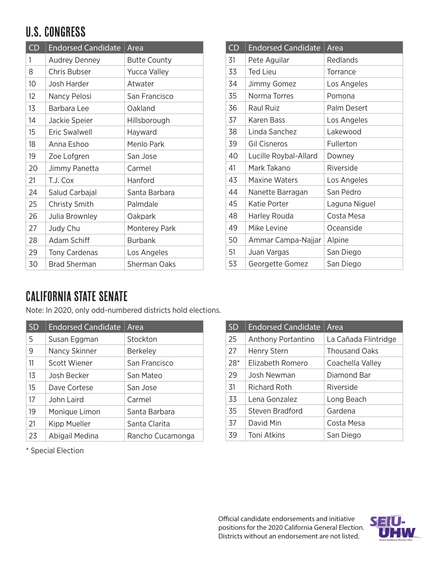# U.S. Congress

| CD              | <b>Endorsed Candidate</b> | Area                |
|-----------------|---------------------------|---------------------|
| 1               | <b>Audrey Denney</b>      | <b>Butte County</b> |
| 8               | Chris Bubser              | <b>Yucca Valley</b> |
| 10 <sup>°</sup> | Josh Harder               | Atwater             |
| 12              | Nancy Pelosi              | San Francisco       |
| 13              | Barbara Lee               | Oakland             |
| 14              | Jackie Speier             | Hillsborough        |
| 15              | <b>Eric Swalwell</b>      | Hayward             |
| 18              | Anna Eshoo                | Menlo Park          |
| 19              | Zoe Lofgren               | San Jose            |
| 20              | Jimmy Panetta             | Carmel              |
| 21              | T.J. Cox                  | Hanford             |
| 24              | Salud Carbajal            | Santa Barbara       |
| 25              | Christy Smith             | Palmdale            |
| 26              | Julia Brownley            | Oakpark             |
| 27              | Judy Chu                  | Monterey Park       |
| 28              | Adam Schiff               | <b>Burbank</b>      |
| 29              | <b>Tony Cardenas</b>      | Los Angeles         |
| 30              | <b>Brad Sherman</b>       | Sherman Oaks        |

| CD | <b>Endorsed Candidate</b> | Area          |
|----|---------------------------|---------------|
| 31 | Pete Aguilar              | Redlands      |
| 33 | <b>Ted Lieu</b>           | Torrance      |
| 34 | Jimmy Gomez               | Los Angeles   |
| 35 | Norma Torres              | Pomona        |
| 36 | Raul Ruiz                 | Palm Desert   |
| 37 | Karen Bass                | Los Angeles   |
| 38 | Linda Sanchez             | Lakewood      |
| 39 | <b>Gil Cisneros</b>       | Fullerton     |
| 40 | Lucille Roybal-Allard     | Downey        |
| 41 | Mark Takano               | Riverside     |
| 43 | <b>Maxine Waters</b>      | Los Angeles   |
| 44 | Nanette Barragan          | San Pedro     |
| 45 | Katie Porter              | Laguna Niguel |
| 48 | Harley Rouda              | Costa Mesa    |
| 49 | Mike Levine               | Oceanside     |
| 50 | Ammar Campa-Najjar        | Alpine        |
| 51 | Juan Vargas               | San Diego     |
| 53 | Georgette Gomez           | San Diego     |

### California State Senate

Note: In 2020, only odd-numbered districts hold elections.

| <b>SD</b> | <b>Endorsed Candidate</b> | Area             |
|-----------|---------------------------|------------------|
| 5         | Susan Eggman              | Stockton         |
| 9         | Nancy Skinner             | Berkeley         |
| 11        | Scott Wiener              | San Francisco    |
| 13        | Josh Becker               | San Mateo        |
| 15        | Dave Cortese              | San Jose         |
| 17        | John Laird                | Carmel           |
| 19        | Monique Limon             | Santa Barbara    |
| 21        | Kipp Mueller              | Santa Clarita    |
| 23        | Abigail Medina            | Rancho Cucamonga |

| <b>SD</b> | <b>Endorsed Candidate</b> | Area                 |
|-----------|---------------------------|----------------------|
| 25        | Anthony Portantino        | La Cañada Flintridge |
| 27        | Henry Stern               | <b>Thousand Oaks</b> |
| 28*       | Elizabeth Romero          | Coachella Valley     |
| 29        | Josh Newman               | Diamond Bar          |
| 31        | Richard Roth              | Riverside            |
| 33        | Lena Gonzalez             | Long Beach           |
| 35        | Steven Bradford           | Gardena              |
| 37        | David Min                 | Costa Mesa           |
| 39        | Toni Atkins               | San Diego            |

\* Special Election